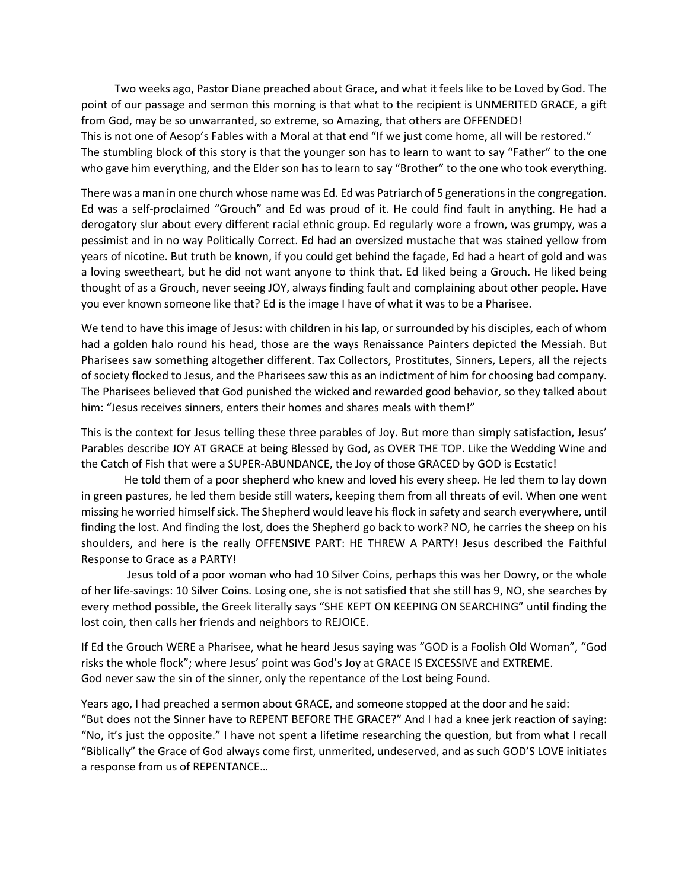Two weeks ago, Pastor Diane preached about Grace, and what it feels like to be Loved by God. The point of our passage and sermon this morning is that what to the recipient is UNMERITED GRACE, a gift from God, may be so unwarranted, so extreme, so Amazing, that others are OFFENDED!

This is not one of Aesop's Fables with a Moral at that end "If we just come home, all will be restored." The stumbling block of this story is that the younger son has to learn to want to say "Father" to the one who gave him everything, and the Elder son has to learn to say "Brother" to the one who took everything.

There was a man in one church whose name was Ed. Ed was Patriarch of 5 generations in the congregation. Ed was a self-proclaimed "Grouch" and Ed was proud of it. He could find fault in anything. He had a derogatory slur about every different racial ethnic group. Ed regularly wore a frown, was grumpy, was a pessimist and in no way Politically Correct. Ed had an oversized mustache that was stained yellow from years of nicotine. But truth be known, if you could get behind the façade, Ed had a heart of gold and was a loving sweetheart, but he did not want anyone to think that. Ed liked being a Grouch. He liked being thought of as a Grouch, never seeing JOY, always finding fault and complaining about other people. Have you ever known someone like that? Ed is the image I have of what it was to be a Pharisee.

We tend to have this image of Jesus: with children in his lap, or surrounded by his disciples, each of whom had a golden halo round his head, those are the ways Renaissance Painters depicted the Messiah. But Pharisees saw something altogether different. Tax Collectors, Prostitutes, Sinners, Lepers, all the rejects of society flocked to Jesus, and the Pharisees saw this as an indictment of him for choosing bad company. The Pharisees believed that God punished the wicked and rewarded good behavior, so they talked about him: "Jesus receives sinners, enters their homes and shares meals with them!"

This is the context for Jesus telling these three parables of Joy. But more than simply satisfaction, Jesus' Parables describe JOY AT GRACE at being Blessed by God, as OVER THE TOP. Like the Wedding Wine and the Catch of Fish that were a SUPER-ABUNDANCE, the Joy of those GRACED by GOD is Ecstatic!

He told them of a poor shepherd who knew and loved his every sheep. He led them to lay down in green pastures, he led them beside still waters, keeping them from all threats of evil. When one went missing he worried himself sick. The Shepherd would leave hisflock in safety and search everywhere, until finding the lost. And finding the lost, does the Shepherd go back to work? NO, he carries the sheep on his shoulders, and here is the really OFFENSIVE PART: HE THREW A PARTY! Jesus described the Faithful Response to Grace as a PARTY!

 Jesus told of a poor woman who had 10 Silver Coins, perhaps this was her Dowry, or the whole of her life-savings: 10 Silver Coins. Losing one, she is not satisfied that she still has 9, NO, she searches by every method possible, the Greek literally says "SHE KEPT ON KEEPING ON SEARCHING" until finding the lost coin, then calls her friends and neighbors to REJOICE.

If Ed the Grouch WERE a Pharisee, what he heard Jesus saying was "GOD is a Foolish Old Woman", "God risks the whole flock"; where Jesus' point was God's Joy at GRACE IS EXCESSIVE and EXTREME. God never saw the sin of the sinner, only the repentance of the Lost being Found.

Years ago, I had preached a sermon about GRACE, and someone stopped at the door and he said: "But does not the Sinner have to REPENT BEFORE THE GRACE?" And I had a knee jerk reaction of saying: "No, it's just the opposite." I have not spent a lifetime researching the question, but from what I recall "Biblically" the Grace of God always come first, unmerited, undeserved, and as such GOD'S LOVE initiates a response from us of REPENTANCE…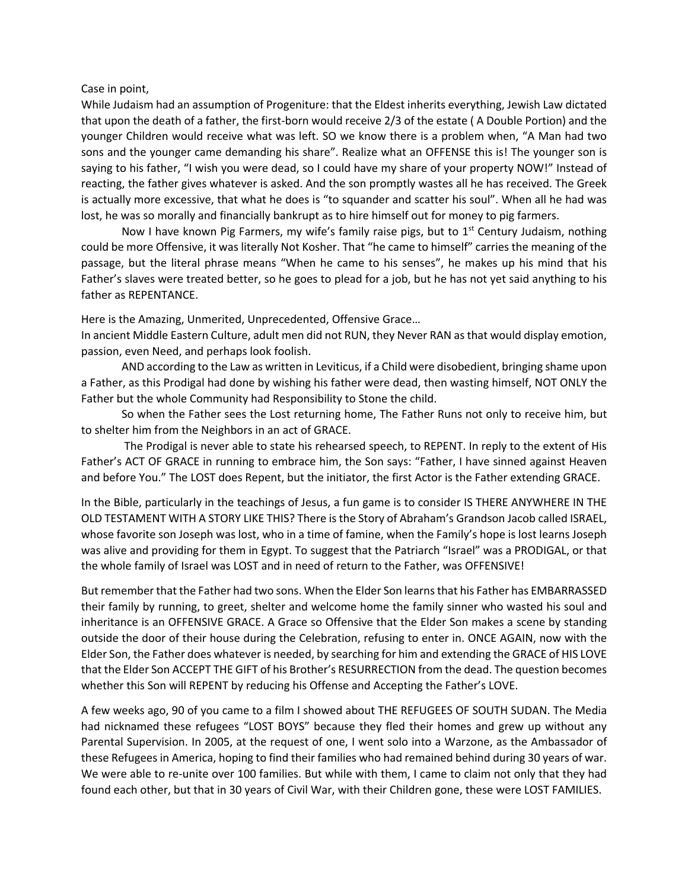## Case in point,

While Judaism had an assumption of Progeniture: that the Eldest inherits everything, Jewish Law dictated that upon the death of a father, the first-born would receive 2/3 of the estate ( A Double Portion) and the younger Children would receive what was left. SO we know there is a problem when, "A Man had two sons and the younger came demanding his share". Realize what an OFFENSE this is! The younger son is saying to his father, "I wish you were dead, so I could have my share of your property NOW!" Instead of reacting, the father gives whatever is asked. And the son promptly wastes all he has received. The Greek is actually more excessive, that what he does is "to squander and scatter his soul". When all he had was lost, he was so morally and financially bankrupt as to hire himself out for money to pig farmers.

Now I have known Pig Farmers, my wife's family raise pigs, but to  $1<sup>st</sup>$  Century Judaism, nothing could be more Offensive, it was literally Not Kosher. That "he came to himself" carries the meaning of the passage, but the literal phrase means "When he came to his senses", he makes up his mind that his Father's slaves were treated better, so he goes to plead for a job, but he has not yet said anything to his father as REPENTANCE.

Here is the Amazing, Unmerited, Unprecedented, Offensive Grace…

In ancient Middle Eastern Culture, adult men did not RUN, they Never RAN as that would display emotion, passion, even Need, and perhaps look foolish.

AND according to the Law as written in Leviticus, if a Child were disobedient, bringing shame upon a Father, as this Prodigal had done by wishing his father were dead, then wasting himself, NOT ONLY the Father but the whole Community had Responsibility to Stone the child.

So when the Father sees the Lost returning home, The Father Runs not only to receive him, but to shelter him from the Neighbors in an act of GRACE.

The Prodigal is never able to state his rehearsed speech, to REPENT. In reply to the extent of His Father's ACT OF GRACE in running to embrace him, the Son says: "Father, I have sinned against Heaven and before You." The LOST does Repent, but the initiator, the first Actor is the Father extending GRACE.

In the Bible, particularly in the teachings of Jesus, a fun game is to consider IS THERE ANYWHERE IN THE OLD TESTAMENT WITH A STORY LIKE THIS? There is the Story of Abraham's Grandson Jacob called ISRAEL, whose favorite son Joseph was lost, who in a time of famine, when the Family's hope is lost learns Joseph was alive and providing for them in Egypt. To suggest that the Patriarch "Israel" was a PRODIGAL, or that the whole family of Israel was LOST and in need of return to the Father, was OFFENSIVE!

But remember that the Father had two sons. When the Elder Son learns that his Father has EMBARRASSED their family by running, to greet, shelter and welcome home the family sinner who wasted his soul and inheritance is an OFFENSIVE GRACE. A Grace so Offensive that the Elder Son makes a scene by standing outside the door of their house during the Celebration, refusing to enter in. ONCE AGAIN, now with the Elder Son, the Father does whatever is needed, by searching for him and extending the GRACE of HIS LOVE that the Elder Son ACCEPT THE GIFT of his Brother's RESURRECTION from the dead. The question becomes whether this Son will REPENT by reducing his Offense and Accepting the Father's LOVE.

A few weeks ago, 90 of you came to a film I showed about THE REFUGEES OF SOUTH SUDAN. The Media had nicknamed these refugees "LOST BOYS" because they fled their homes and grew up without any Parental Supervision. In 2005, at the request of one, I went solo into a Warzone, as the Ambassador of these Refugees in America, hoping to find their families who had remained behind during 30 years of war. We were able to re-unite over 100 families. But while with them, I came to claim not only that they had found each other, but that in 30 years of Civil War, with their Children gone, these were LOST FAMILIES.